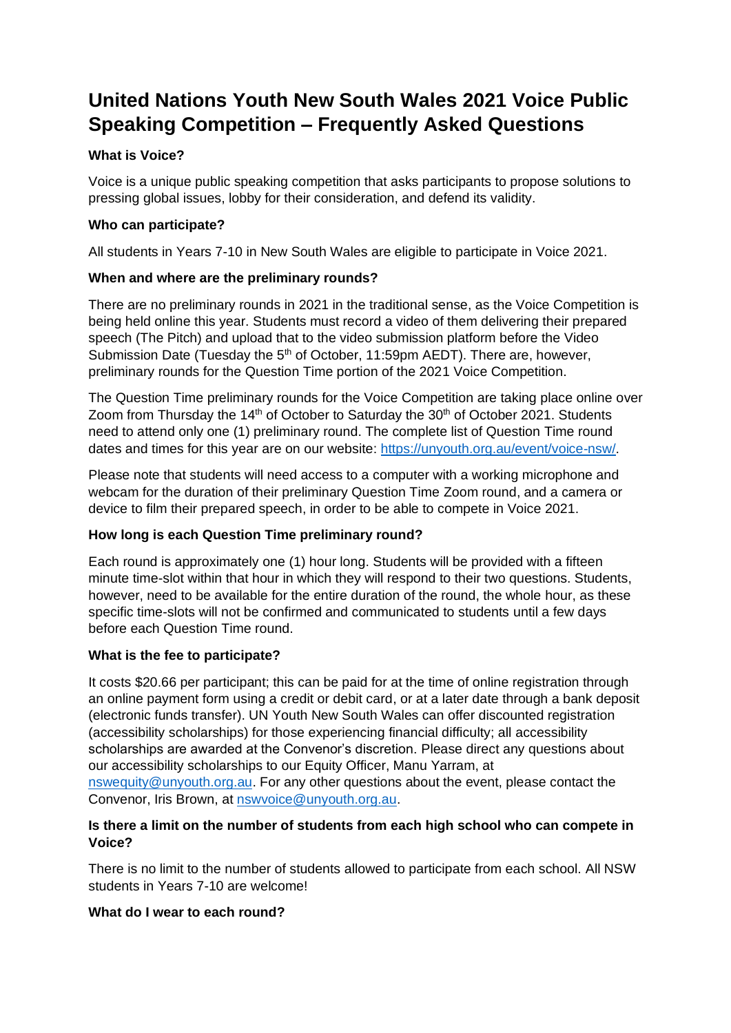# **United Nations Youth New South Wales 2021 Voice Public Speaking Competition – Frequently Asked Questions**

# **What is Voice?**

Voice is a unique public speaking competition that asks participants to propose solutions to pressing global issues, lobby for their consideration, and defend its validity.

## **Who can participate?**

All students in Years 7-10 in New South Wales are eligible to participate in Voice 2021.

## **When and where are the preliminary rounds?**

There are no preliminary rounds in 2021 in the traditional sense, as the Voice Competition is being held online this year. Students must record a video of them delivering their prepared speech (The Pitch) and upload that to the video submission platform before the Video Submission Date (Tuesday the  $5<sup>th</sup>$  of October, 11:59pm AEDT). There are, however, preliminary rounds for the Question Time portion of the 2021 Voice Competition.

The Question Time preliminary rounds for the Voice Competition are taking place online over Zoom from Thursday the  $14<sup>th</sup>$  of October to Saturday the 30<sup>th</sup> of October 2021. Students need to attend only one (1) preliminary round. The complete list of Question Time round dates and times for this year are on our website: [https://unyouth.org.au/event/voice-nsw/.](https://unyouth.org.au/event/voice-nsw/)

Please note that students will need access to a computer with a working microphone and webcam for the duration of their preliminary Question Time Zoom round, and a camera or device to film their prepared speech, in order to be able to compete in Voice 2021.

# **How long is each Question Time preliminary round?**

Each round is approximately one (1) hour long. Students will be provided with a fifteen minute time-slot within that hour in which they will respond to their two questions. Students, however, need to be available for the entire duration of the round, the whole hour, as these specific time-slots will not be confirmed and communicated to students until a few days before each Question Time round.

# **What is the fee to participate?**

It costs \$20.66 per participant; this can be paid for at the time of online registration through an online payment form using a credit or debit card, or at a later date through a bank deposit (electronic funds transfer). UN Youth New South Wales can offer discounted registration (accessibility scholarships) for those experiencing financial difficulty; all accessibility scholarships are awarded at the Convenor's discretion. Please direct any questions about our accessibility scholarships to our Equity Officer, Manu Yarram, at [nswequity@unyouth.org.au.](mailto:nswequity@unyouth.org.au) For any other questions about the event, please contact the Convenor, Iris Brown, at [nswvoice@unyouth.org.au.](mailto:nswvoice@unyouth.org.au)

## **Is there a limit on the number of students from each high school who can compete in Voice?**

There is no limit to the number of students allowed to participate from each school. All NSW students in Years 7-10 are welcome!

#### **What do I wear to each round?**